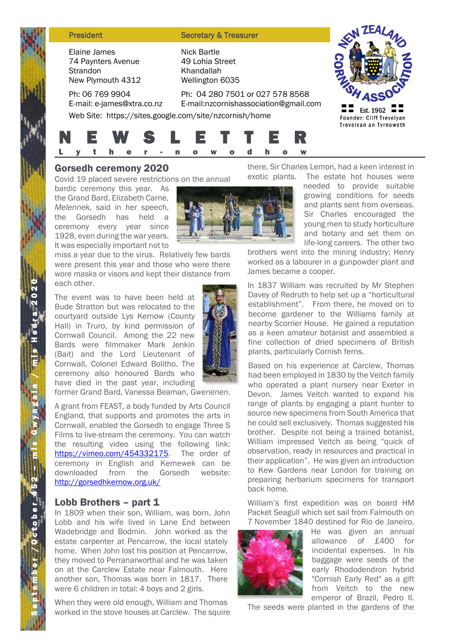#### **President Secretary & Treasurer**

Elaine James 74 Paynters Avenue **Strandon** New Plymouth 4312

Ph: 06 769 9904 E-mail: e-james@xtra.co.nz 49 Lohia Street Khandallah Wellington 6035



Ph: 04 280 7501 or 027 578 8568 E-mail:nzcornishassociation@gmail.com Web Site: https://sites.google.com/site/nzcornish/home



Nick Bartle

# Gorsedh ceremony 2020

Covid 19 placed severe restrictions on the annual

bardic ceremony this year. As the Grand Bard, Elizabeth Carne, *Melennek,* said in her speech, the Gorsedh has held a ceremony every year since 1928, even during the war years. It was especially important not to

miss a year due to the virus. Relatively few bards were present this year and those who were there wore masks or visors and kept their distance from each other.

The event was to have been held at Bude Stratton but was relocated to the courtyard outside Lys Kernow (County Hall) in Truro, by kind permission of Cornwall Council. Among the 22 new Bards were filmmaker Mark Jenkin (Bait) and the Lord Lieutenant of Cornwall, Colonel Edward Bolitho. The ceremony also honoured Bards who have died in the past year, including



former Grand Bard, Vanessa Beaman, *Gwenenen*.

A grant from FEAST, a body funded by Arts Council England, that supports and promotes the arts in Cornwall, enabled the Gorsedh to engage Three S Films to live-stream the ceremony. You can watch the resulting video using the following link: [https://vimeo.com/454332175.](https://vimeo.com/454332175) The order of ceremony in English and Kernewek can be downloaded from the Gorsedh website: <http://gorsedhkernow.org.uk/>

## Lobb Brothers - part 1

In 1809 when their son, William, was born, John Lobb and his wife lived in Lane End between Wadebridge and Bodmin. John worked as the estate carpenter at Pencarrow, the local stately home. When John lost his position at Pencarrow, they moved to Perranarworthal and he was taken on at the Carclew Estate near Falmouth. Here another son, Thomas was born in 1817. There were 6 children in total: 4 boys and 2 girls.

When they were old enough, William and Thomas worked in the stove houses at Carclew. The squire there, Sir Charles Lemon, had a keen interest in

exotic plants. The estate hot houses were needed to provide suitable growing conditions for seeds and plants sent from overseas. Sir Charles encouraged the young men to study horticulture and botany and set them on life-long careers. The other two

brothers went into the mining industry; Henry worked as a labourer in a gunpowder plant and James became a cooper.

In 1837 William was recruited by Mr Stephen Davey of Redruth to help set up a "horticultural establishment". From there, he moved on to become gardener to the Williams family at nearby Scorrier House. He gained a reputation as a keen amateur botanist and assembled a fine collection of dried specimens of British plants, particularly Cornish ferns.

Based on his experience at Carclew, Thomas had been employed in 1830 by the Veitch family who operated a plant nursery near Exeter in Devon. James Veitch wanted to expand his range of plants by engaging a plant hunter to source new specimens from South America that he could sell exclusively. Thomas suggested his brother. Despite not being a trained botanist, William impressed Veitch as being "quick of observation, ready in resources and practical in their application". He was given an introduction to Kew Gardens near London for training on preparing herbarium specimens for transport back home.

William's first expedition was on board HM Packet Seagull which set sail from Falmouth on 7 November 1840 destined for Rio de Janeiro.



He was given an annual allowance of £400 for incidental expenses. In his baggage were seeds of the early Rhododendron hybrid "Cornish Early Red" as a gift from Veitch to the new emperor of Brazil, Pedro II.

The seeds were planted in the gardens of the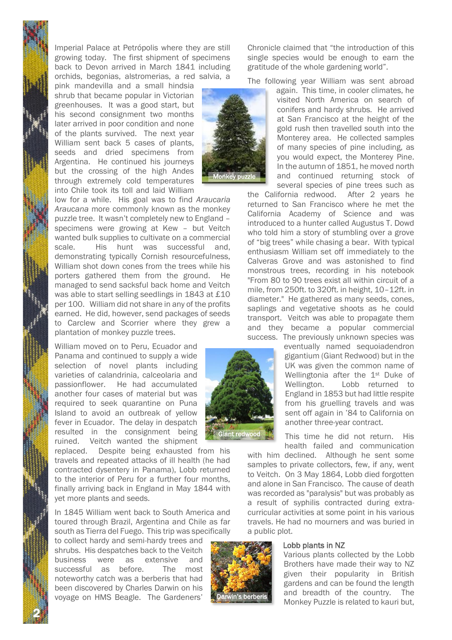Imperial Palace at Petrópolis where they are still growing today. The first shipment of specimens back to Devon arrived in March 1841 including orchids, begonias, alstromerias, a red salvia, a

pink mandevilla and a small hindsia shrub that became popular in Victorian greenhouses. It was a good start, but his second consignment two months later arrived in poor condition and none of the plants survived. The next year William sent back 5 cases of plants. seeds and dried specimens from Argentina. He continued his journeys but the crossing of the high Andes through extremely cold temperatures into Chile took its toll and laid William

low for a while. His goal was to find *Araucaria Araucana* more commonly known as the monkey puzzle tree. It wasn't completely new to England – specimens were growing at Kew – but Veitch wanted bulk supplies to cultivate on a commercial scale. His hunt was successful and, demonstrating typically Cornish resourcefulness, William shot down cones from the trees while his porters gathered them from the ground. He managed to send sacksful back home and Veitch was able to start selling seedlings in 1843 at £10 per 100. William did not share in any of the profits earned. He did, however, send packages of seeds to Carclew and Scorrier where they grew a plantation of monkey puzzle trees.

William moved on to Peru, Ecuador and Panama and continued to supply a wide selection of novel plants including varieties of calandrinia, calceolaria and passionflower. He had accumulated another four cases of material but was required to seek quarantine on Puna Island to avoid an outbreak of yellow fever in Ecuador. The delay in despatch resulted in the consignment being ruined. Veitch wanted the shipment

replaced. Despite being exhausted from his travels and repeated attacks of ill health (he had contracted dysentery in Panama), Lobb returned to the interior of Peru for a further four months, finally arriving back in England in May 1844 with yet more plants and seeds.

In 1845 William went back to South America and toured through Brazil, Argentina and Chile as far south as Tierra del Fuego. This trip was specifically

to collect hardy and semi-hardy trees and shrubs. His despatches back to the Veitch business were as extensive and successful as before. The most noteworthy catch was a berberis that had been discovered by Charles Darwin on his voyage on HMS Beagle. The Gardeners'

2



Darwin's berberis

Chronicle claimed that "the introduction of this single species would be enough to earn the gratitude of the whole gardening world".

The following year William was sent abroad

again. This time, in cooler climates, he visited North America on search of conifers and hardy shrubs. He arrived at San Francisco at the height of the gold rush then travelled south into the Monterey area. He collected samples of many species of pine including, as you would expect, the Monterey Pine. In the autumn of 1851, he moved north and continued returning stock of several species of pine trees such as

the California redwood. After 2 years he returned to San Francisco where he met the California Academy of Science and was introduced to a hunter called Augustus T. Dowd who told him a story of stumbling over a grove of "big trees" while chasing a bear. With typical enthusiasm William set off immediately to the Calveras Grove and was astonished to find monstrous trees, recording in his notebook "From 80 to 90 trees exist all within circuit of a mile, from 250ft. to 320ft. in height, 10–12ft. in diameter." He gathered as many seeds, cones, saplings and vegetative shoots as he could transport. Veitch was able to propagate them and they became a popular commercial success. The previously unknown species was

eventually named sequoiadendron gigantium (Giant Redwood) but in the UK was given the common name of Wellingtonia after the 1<sup>st</sup> Duke of Wellington. Lobb returned to England in 1853 but had little respite from his gruelling travels and was sent off again in '84 to California on another three-year contract.

This time he did not return. His health failed and communication

with him declined. Although he sent some samples to private collectors, few, if any, went to Veitch. On 3 May 1864, Lobb died forgotten and alone in San Francisco. The cause of death was recorded as "paralysis" but was probably as a result of syphilis contracted during extracurricular activities at some point in his various travels. He had no mourners and was buried in a public plot.

#### Lobb plants in NZ

Various plants collected by the Lobb Brothers have made their way to NZ given their popularity in British gardens and can be found the length and breadth of the country. The Monkey Puzzle is related to kauri but,

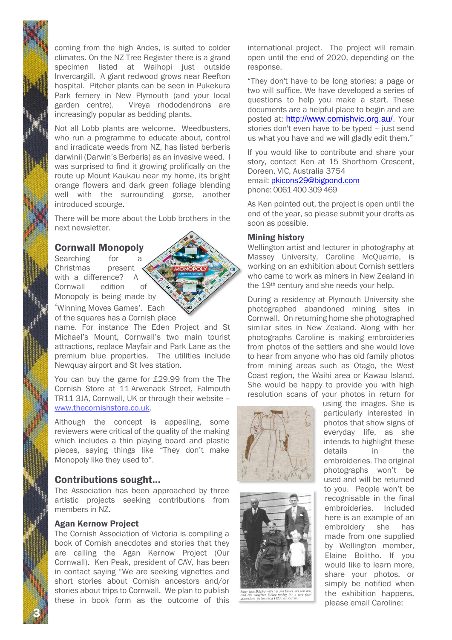coming from the high Andes, is suited to colder climates. On the NZ Tree Register there is a grand specimen listed at Waihopi just outside Invercargill. A giant redwood grows near Reefton hospital. Pitcher plants can be seen in Pukekura Park fernery in New Plymouth (and your local garden centre). Vireya rhododendrons are increasingly popular as bedding plants.

Not all Lobb plants are welcome. Weedbusters, who run a programme to educate about, control and irradicate weeds from NZ, has listed berberis darwinii (Darwin's Berberis) as an invasive weed. I was surprised to find it growing prolifically on the route up Mount Kaukau near my home, its bright orange flowers and dark green foliage blending well with the surrounding gorse, another introduced scourge.

There will be more about the Lobb brothers in the next newsletter.

## Cornwall Monopoly

Searching for a Christmas present with a difference? A Cornwall edition of Monopoly is being made by 'Winning Moves Games'. Each of the squares has a Cornish place

name. For instance The Eden Project and St Michael's Mount, Cornwall's two main tourist attractions, replace Mayfair and Park Lane as the premium blue properties. The utilities include Newquay airport and St Ives station.

You can buy the game for £29.99 from the The Cornish Store at 11 Arwenack Street, Falmouth TR11 3JA, Cornwall, UK or through their website – [www.thecornishstore.co.uk.](http://www.thecornishstore.co.uk/)

Although the concept is appealing, some reviewers were critical of the quality of the making which includes a thin playing board and plastic pieces, saying things like "They don't make Monopoly like they used to".

# Contributions sought…

The Association has been approached by three artistic projects seeking contributions from members in NZ.

## Agan Kernow Project

3

The Cornish Association of Victoria is compiling a book of Cornish anecdotes and stories that they are calling the Agan Kernow Project (Our Cornwall). Ken Peak, president of CAV, has been in contact saying "We are seeking vignettes and short stories about Cornish ancestors and/or stories about trips to Cornwall. We plan to publish these in book form as the outcome of this

international project. The project will remain open until the end of 2020, depending on the response.

"They don't have to be long stories; a page or two will suffice. We have developed a series of questions to help you make a start. These documents are a helpful place to begin and are posted at: [http://www.cornishvic.org.au/.](http://www.cornishvic.org.au/) Your stories don't even have to be typed – just send us what you have and we will gladly edit them."

If you would like to contribute and share your story, contact Ken at 15 Shorthorn Crescent, Doreen, VIC, Australia 3754 email: [pkicons29@bigpond.com](mailto:pkicons29@bigpond.com)

phone: 0061 400 309 469

As Ken pointed out, the project is open until the end of the year, so please submit your drafts as soon as possible.

#### Mining history

Wellington artist and lecturer in photography at Massey University, Caroline McQuarrie, is working on an exhibition about Cornish settlers who came to work as miners in New Zealand in the 19th century and she needs your help.

During a residency at Plymouth University she photographed abandoned mining sites in Cornwall. On returning home she photographed similar sites in New Zealand. Along with her photographs Caroline is making embroideries from photos of the settlers and she would love to hear from anyone who has old family photos from mining areas such as Otago, the West Coast region, the Waihi area or Kawau Island. She would be happy to provide you with high resolution scans of your photos in return for





er Esther posing<br>re.circa.1927. vr.

using the images. She is particularly interested in photos that show signs of everyday life, as she intends to highlight these details in the embroideries. The original photographs won't be used and will be returned to you. People won't be recognisable in the final embroideries. Included here is an example of an embroidery she has made from one supplied by Wellington member, Elaine Bolitho. If you would like to learn more, share your photos, or simply be notified when the exhibition happens, please email Caroline: